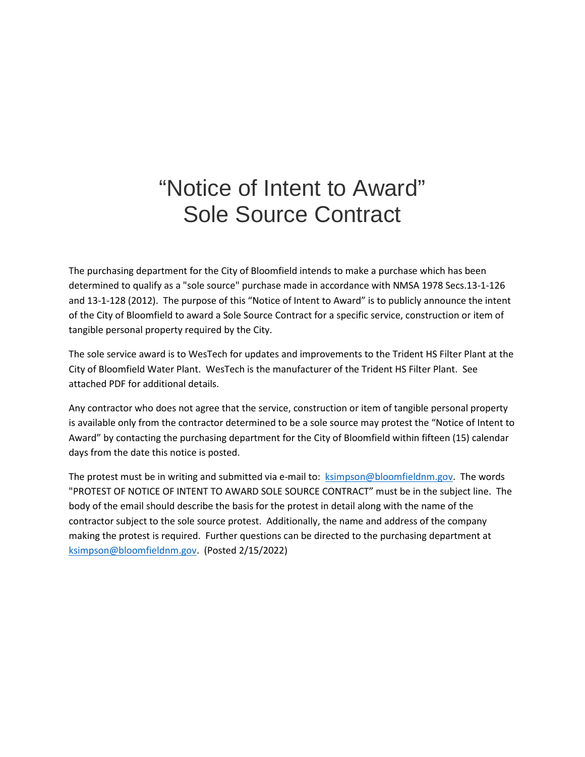# "Notice of Intent to Award" Sole Source Contract

The purchasing department for the City of Bloomfield intends to make a purchase which has been determined to qualify as a "sole source" purchase made in accordance with NMSA 1978 Secs.13-1-126 and 13-1-128 (2012). The purpose of this "Notice of Intent to Award" is to publicly announce the intent of the City of Bloomfield to award a Sole Source Contract for a specific service, construction or item of tangible personal property required by the City.

The sole service award is to WesTech for updates and improvements to the Trident HS Filter Plant at the City of Bloomfield Water Plant. WesTech is the manufacturer of the Trident HS Filter Plant. See attached PDF for additional details.

Any contractor who does not agree that the service, construction or item of tangible personal property is available only from the contractor determined to be a sole source may protest the "Notice of Intent to Award" by contacting the purchasing department for the City of Bloomfield within fifteen (15) calendar days from the date this notice is posted.

The protest must be in writing and submitted via e-mail to: [ksimpson@bloomfieldnm.gov.](mailto:ksimpson@bloomfieldnm.gov) The words "PROTEST OF NOTICE OF INTENT TO AWARD SOLE SOURCE CONTRACT" must be in the subject line. The body of the email should describe the basis for the protest in detail along with the name of the contractor subject to the sole source protest. Additionally, the name and address of the company making the protest is required. Further questions can be directed to the purchasing department at [ksimpson@bloomfieldnm.gov.](mailto:ksimpson@bloomfieldnm.gov) (Posted 2/15/2022)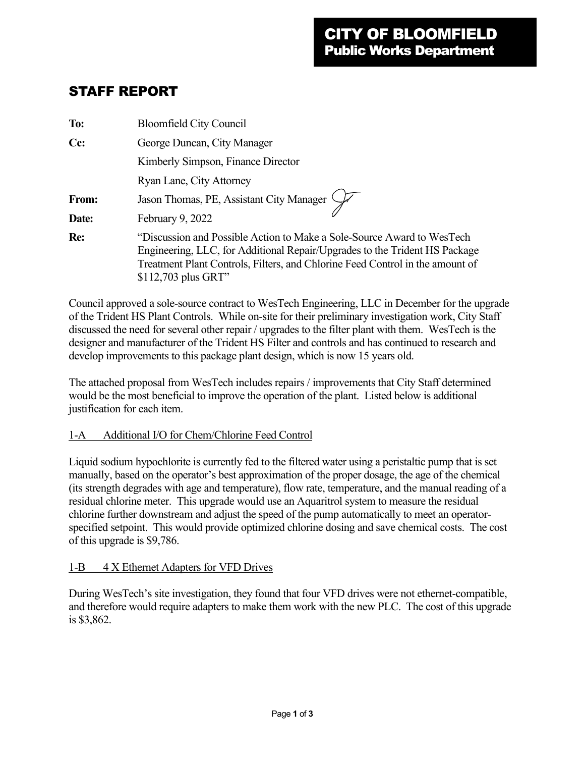# STAFF REPORT

| To:   | <b>Bloomfield City Council</b>                                                                                                                                                                                                                                |  |
|-------|---------------------------------------------------------------------------------------------------------------------------------------------------------------------------------------------------------------------------------------------------------------|--|
| Cc:   | George Duncan, City Manager                                                                                                                                                                                                                                   |  |
|       | Kimberly Simpson, Finance Director                                                                                                                                                                                                                            |  |
|       | Ryan Lane, City Attorney                                                                                                                                                                                                                                      |  |
| From: | Jason Thomas, PE, Assistant City Manager                                                                                                                                                                                                                      |  |
| Date: | February 9, 2022                                                                                                                                                                                                                                              |  |
| Re:   | "Discussion and Possible Action to Make a Sole-Source Award to WesTech<br>Engineering, LLC, for Additional Repair/Upgrades to the Trident HS Package<br>Treatment Plant Controls, Filters, and Chlorine Feed Control in the amount of<br>$$112,703$ plus GRT" |  |

Council approved a sole-source contract to WesTech Engineering, LLC in December for the upgrade of the Trident HS Plant Controls. While on-site for their preliminary investigation work, City Staff discussed the need for several other repair / upgrades to the filter plant with them. WesTech is the designer and manufacturer of the Trident HS Filter and controls and has continued to research and develop improvements to this package plant design, which is now 15 years old.

The attached proposal from WesTech includes repairs / improvements that City Staff determined would be the most beneficial to improve the operation of the plant. Listed below is additional justification for each item.

#### 1-A Additional I/O for Chem/Chlorine Feed Control

Liquid sodium hypochlorite is currently fed to the filtered water using a peristaltic pump that is set manually, based on the operator's best approximation of the proper dosage, the age of the chemical (its strength degrades with age and temperature), flow rate, temperature, and the manual reading of a residual chlorine meter. This upgrade would use an Aquaritrol system to measure the residual chlorine further downstream and adjust the speed of the pump automatically to meet an operatorspecified setpoint. This would provide optimized chlorine dosing and save chemical costs. The cost of this upgrade is \$9,786.

#### 1-B 4 X Ethernet Adapters for VFD Drives

During WesTech's site investigation, they found that four VFD drives were not ethernet-compatible, and therefore would require adapters to make them work with the new PLC. The cost of this upgrade is \$3,862.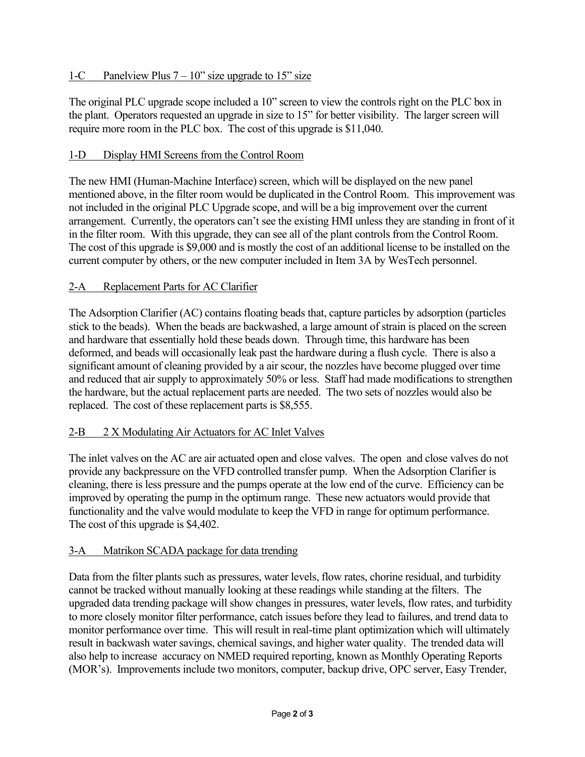# 1-C Panelview Plus  $7 - 10$ " size upgrade to 15" size

The original PLC upgrade scope included a 10" screen to view the controls right on the PLC box in the plant. Operators requested an upgrade in size to 15" for better visibility. The larger screen will require more room in the PLC box. The cost of this upgrade is \$11,040.

# 1-D Display HMI Screens from the Control Room

The new HMI (Human-Machine Interface) screen, which will be displayed on the new panel mentioned above, in the filter room would be duplicated in the Control Room. This improvement was not included in the original PLC Upgrade scope, and will be a big improvement over the current arrangement. Currently, the operators can't see the existing HMI unless they are standing in front of it in the filter room. With this upgrade, they can see all of the plant controls from the Control Room. The cost of this upgrade is \$9,000 and is mostly the cost of an additional license to be installed on the current computer by others, or the new computer included in Item 3A by WesTech personnel.

# 2-A Replacement Parts for AC Clarifier

The Adsorption Clarifier (AC) contains floating beads that, capture particles by adsorption (particles stick to the beads). When the beads are backwashed, a large amount of strain is placed on the screen and hardware that essentially hold these beads down. Through time, this hardware has been deformed, and beads will occasionally leak past the hardware during a flush cycle. There is also a significant amount of cleaning provided by a air scour, the nozzles have become plugged over time and reduced that air supply to approximately 50% or less. Staff had made modifications to strengthen the hardware, but the actual replacement parts are needed. The two sets of nozzles would also be replaced. The cost of these replacement parts is \$8,555.

# 2-B 2 X Modulating Air Actuators for AC Inlet Valves

The inlet valves on the AC are air actuated open and close valves. The open and close valves do not provide any backpressure on the VFD controlled transfer pump. When the Adsorption Clarifier is cleaning, there is less pressure and the pumps operate at the low end of the curve. Efficiency can be improved by operating the pump in the optimum range. These new actuators would provide that functionality and the valve would modulate to keep the VFD in range for optimum performance. The cost of this upgrade is \$4,402.

# 3-A Matrikon SCADA package for data trending

Data from the filter plants such as pressures, water levels, flow rates, chorine residual, and turbidity cannot be tracked without manually looking at these readings while standing at the filters. The upgraded data trending package will show changes in pressures, water levels, flow rates, and turbidity to more closely monitor filter performance, catch issues before they lead to failures, and trend data to monitor performance over time. This will result in real-time plant optimization which will ultimately result in backwash water savings, chemical savings, and higher water quality. The trended data will also help to increase accuracy on NMED required reporting, known as Monthly Operating Reports (MOR's). Improvements include two monitors, computer, backup drive, OPC server, Easy Trender,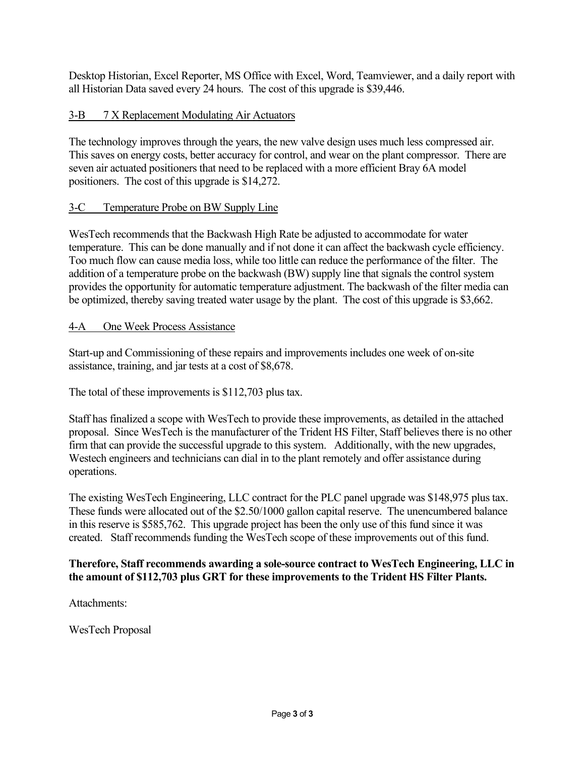Desktop Historian, Excel Reporter, MS Office with Excel, Word, Teamviewer, and a daily report with all Historian Data saved every 24 hours. The cost of this upgrade is \$39,446.

#### 3-B 7 X Replacement Modulating Air Actuators

The technology improves through the years, the new valve design uses much less compressed air. This saves on energy costs, better accuracy for control, and wear on the plant compressor. There are seven air actuated positioners that need to be replaced with a more efficient Bray 6A model positioners. The cost of this upgrade is \$14,272.

#### 3-C Temperature Probe on BW Supply Line

WesTech recommends that the Backwash High Rate be adjusted to accommodate for water temperature. This can be done manually and if not done it can affect the backwash cycle efficiency. Too much flow can cause media loss, while too little can reduce the performance of the filter. The addition of a temperature probe on the backwash (BW) supply line that signals the control system provides the opportunity for automatic temperature adjustment. The backwash of the filter media can be optimized, thereby saving treated water usage by the plant. The cost of this upgrade is \$3,662.

#### 4-A One Week Process Assistance

Start-up and Commissioning of these repairs and improvements includes one week of on-site assistance, training, and jar tests at a cost of \$8,678.

The total of these improvements is \$112,703 plus tax.

Staff has finalized a scope with WesTech to provide these improvements, as detailed in the attached proposal. Since WesTech is the manufacturer of the Trident HS Filter, Staff believes there is no other firm that can provide the successful upgrade to this system. Additionally, with the new upgrades, Westech engineers and technicians can dial in to the plant remotely and offer assistance during operations.

The existing WesTech Engineering, LLC contract for the PLC panel upgrade was \$148,975 plus tax. These funds were allocated out of the \$2.50/1000 gallon capital reserve. The unencumbered balance in this reserve is \$585,762. This upgrade project has been the only use of this fund since it was created. Staff recommends funding the WesTech scope of these improvements out of this fund.

#### **Therefore, Staff recommends awarding a sole-source contract to WesTech Engineering, LLC in the amount of \$112,703 plus GRT for these improvements to the Trident HS Filter Plants.**

Attachments:

WesTech Proposal